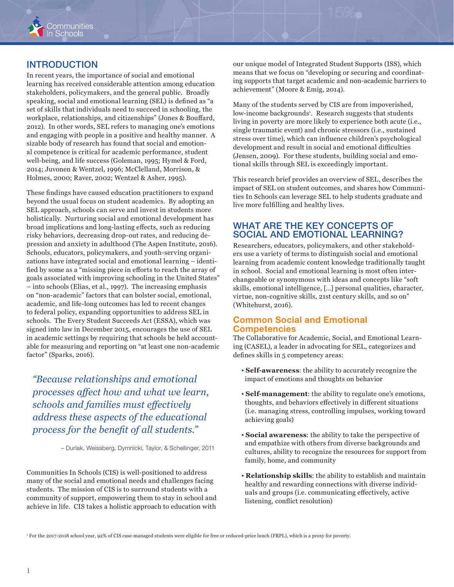

# **INTRODUCTION**

In recent years, the importance of social and emotional learning has received considerable attention among education stakeholders, policymakers, and the general public. Broadly speaking, social and emotional learning (SEL) is defined as "a set of skills that individuals need to succeed in schooling, the workplace, relationships, and citizenships" (Jones & Bouffard, 2012). In other words, SEL refers to managing one's emotions and engaging with people in a positive and healthy manner. A sizable body of research has found that social and emotional competence is critical for academic performance, student well-being, and life success (Goleman, 1995; Hymel & Ford, 2014; Juvonen & Wentzel, 1996; McClelland, Morrison, & Holmes, 2000; Raver, 2002; Wentzel & Asher, 1995).

These findings have caused education practitioners to expand beyond the usual focus on student academics. By adopting an SEL approach, schools can serve and invest in students more holistically. Nurturing social and emotional development has broad implications and long-lasting effects, such as reducing risky behaviors, decreasing drop-out rates, and reducing depression and anxiety in adulthood (The Aspen Institute, 2016). Schools, educators, policymakers, and youth-serving organizations have integrated social and emotional learning – identified by some as a "missing piece in efforts to reach the array of goals associated with improving schooling in the United States" – into schools (Elias, et al., 1997). The increasing emphasis on "non-academic" factors that can bolster social, emotional, academic, and life-long outcomes has led to recent changes to federal policy, expanding opportunities to address SEL in schools. The Every Student Succeeds Act (ESSA), which was signed into law in December 2015, encourages the use of SEL in academic settings by requiring that schools be held accountable for measuring and reporting on "at least one non-academic factor" (Sparks, 2016).

*"Because relationships and emotional processes affect how and what we learn, schools and families must effectively address these aspects of the educational process for the benefit of all students."* 

– Durlak, Weissberg, Dymnicki, Taylor, & Schellinger, 2011

Communities In Schools (CIS) is well-positioned to address many of the social and emotional needs and challenges facing students. The mission of CIS is to surround students with a community of support, empowering them to stay in school and achieve in life. CIS takes a holistic approach to education with

our unique model of Integrated Student Supports (ISS), which means that we focus on "developing or securing and coordinating supports that target academic and non-academic barriers to achievement" (Moore & Emig, 2014).

Many of the students served by CIS are from impoverished, low-income backgrounds<sup>1</sup>. Research suggests that students living in poverty are more likely to experience both acute (i.e., single traumatic event) and chronic stressors (i.e., sustained stress over time), which can influence children's psychological development and result in social and emotional difficulties (Jensen, 2009). For these students, building social and emotional skills through SEL is exceedingly important.

This research brief provides an overview of SEL, describes the impact of SEL on student outcomes, and shares how Communities In Schools can leverage SEL to help students graduate and live more fulfilling and healthy lives.

## WHAT ARE THE KEY CONCEPTS OF SOCIAL AND EMOTIONAL LEARNING?

Researchers, educators, policymakers, and other stakeholders use a variety of terms to distinguish social and emotional learning from academic content knowledge traditionally taught in school. Social and emotional learning is most often interchangeable or synonymous with ideas and concepts like "soft skills, emotional intelligence, […] personal qualities, character, virtue, non-cognitive skills, 21st century skills, and so on" (Whitehurst, 2016).

### Common Social and Emotional **Competencies**

The Collaborative for Academic, Social, and Emotional Learning (CASEL), a leader in advocating for SEL, categorizes and defines skills in 5 competency areas:

- **Self-awareness**: the ability to accurately recognize the impact of emotions and thoughts on behavior
- **Self-management**: the ability to regulate one's emotions, thoughts, and behaviors effectively in different situations (i.e. managing stress, controlling impulses, working toward achieving goals)
- **Social awareness**: the ability to take the perspective of and empathize with others from diverse backgrounds and cultures, ability to recognize the resources for support from family, home, and community
- **Relationship skills**: the ability to establish and maintain healthy and rewarding connections with diverse individuals and groups (i.e. communicating effectively, active listening, conflict resolution)

1 For the 2017-2018 school year, 92% of CIS case-managed students were eligible for free or reduced-price lunch (FRPL), which is a proxy for poverty.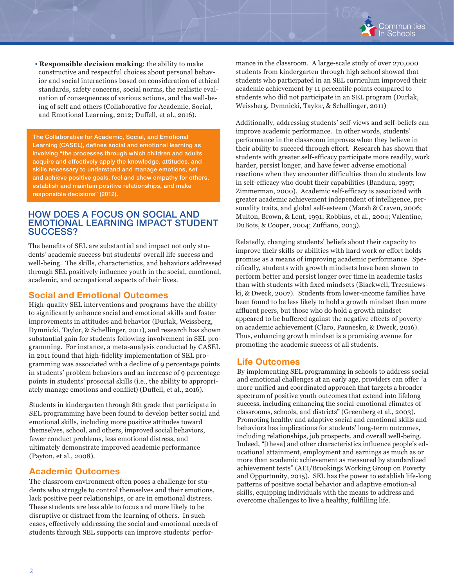

• **Responsible decision making**: the ability to make constructive and respectful choices about personal behavior and social interactions based on consideration of ethical standards, safety concerns, social norms, the realistic evaluation of consequences of various actions, and the well-being of self and others (Collaborative for Academic, Social, and Emotional Learning, 2012; Duffell, et al., 2016).

The Collaborative for Academic, Social, and Emotional Learning (CASEL), defines social and emotional learning as involving "the processes through which children and adults acquire and effectively apply the knowledge, attitudes, and skills necessary to understand and manage emotions, set and achieve positive goals, feel and show empathy for others, establish and maintain positive relationships, and make responsible decisions" (2012).

#### HOW DOES A FOCUS ON SOCIAL AND EMOTIONAL LEARNING IMPACT STUDENT SUCCESS?

The benefits of SEL are substantial and impact not only students' academic success but students' overall life success and well-being. The skills, characteristics, and behaviors addressed through SEL positively influence youth in the social, emotional, academic, and occupational aspects of their lives.

## Social and Emotional Outcomes

High-quality SEL interventions and programs have the ability to significantly enhance social and emotional skills and foster improvements in attitudes and behavior (Durlak, Weissberg, Dymnicki, Taylor, & Schellinger, 2011), and research has shown substantial gain for students following involvement in SEL programming. For instance, a meta-analysis conducted by CASEL in 2011 found that high-fidelity implementation of SEL programming was associated with a decline of 9 percentage points in students' problem behaviors and an increase of 9 percentage points in students' prosocial skills (i.e., the ability to appropriately manage emotions and conflict) (Duffell, et al., 2016).

Students in kindergarten through 8th grade that participate in SEL programming have been found to develop better social and emotional skills, including more positive attitudes toward themselves, school, and others, improved social behaviors, fewer conduct problems, less emotional distress, and ultimately demonstrate improved academic performance (Payton, et al., 2008).

## Academic Outcomes

The classroom environment often poses a challenge for students who struggle to control themselves and their emotions, lack positive peer relationships, or are in emotional distress. These students are less able to focus and more likely to be disruptive or distract from the learning of others. In such cases, effectively addressing the social and emotional needs of students through SEL supports can improve students' performance in the classroom. A large-scale study of over 270,000 students from kindergarten through high school showed that students who participated in an SEL curriculum improved their academic achievement by 11 percentile points compared to students who did not participate in an SEL program (Durlak, Weissberg, Dymnicki, Taylor, & Schellinger, 2011)

Additionally, addressing students' self-views and self-beliefs can improve academic performance. In other words, students' performance in the classroom improves when they believe in their ability to succeed through effort. Research has shown that students with greater self-efficacy participate more readily, work harder, persist longer, and have fewer adverse emotional reactions when they encounter difficulties than do students low in self-efficacy who doubt their capabilities (Bandura, 1997; Zimmerman, 2000). Academic self-efficacy is associated with greater academic achievement independent of intelligence, personality traits, and global self-esteem (Marsh & Craven, 2006; Multon, Brown, & Lent, 1991; Robbins, et al., 2004; Valentine, DuBois, & Cooper, 2004; Zuffiano, 2013).

Relatedly, changing students' beliefs about their capacity to improve their skills or abilities with hard work or effort holds promise as a means of improving academic performance. Specifically, students with growth mindsets have been shown to perform better and persist longer over time in academic tasks than with students with fixed mindsets (Blackwell, Trzesniewski, & Dweck, 2007). Students from lower-income families have been found to be less likely to hold a growth mindset than more affluent peers, but those who do hold a growth mindset appeared to be buffered against the negative effects of poverty on academic achievement (Claro, Paunesku, & Dweck, 2016). Thus, enhancing growth mindset is a promising avenue for promoting the academic success of all students.

#### Life Outcomes

By implementing SEL programming in schools to address social and emotional challenges at an early age, providers can offer "a more unified and coordinated approach that targets a broader spectrum of positive youth outcomes that extend into lifelong success, including enhancing the social-emotional climates of classrooms, schools, and districts" (Greenberg et al., 2003). Promoting healthy and adaptive social and emotional skills and behaviors has implications for students' long-term outcomes, including relationships, job prospects, and overall well-being. Indeed, "[these] and other characteristics influence people's educational attainment, employment and earnings as much as or more than academic achievement as measured by standardized achievement tests" (AEI/Brookings Working Group on Poverty and Opportunity, 2015). SEL has the power to establish life-long patterns of positive social behavior and adaptive emotion-al skills, equipping individuals with the means to address and overcome challenges to live a healthy, fulfilling life.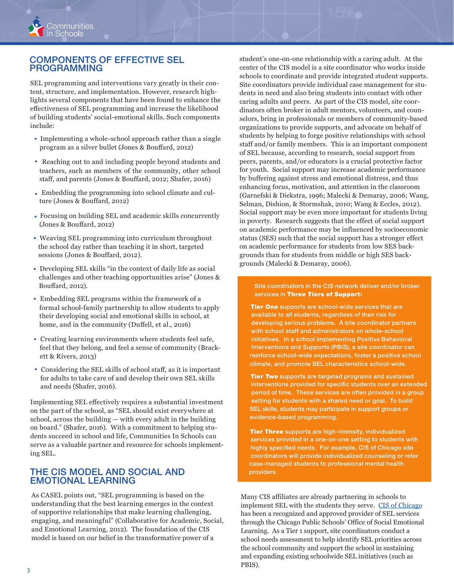

## COMPONENTS OF EFFECTIVE SEL PROGRAMMING

SEL programming and interventions vary greatly in their content, structure, and implementation. However, research highlights several components that have been found to enhance the effectiveness of SEL programming and increase the likelihood of building students' social-emotional skills. Such components include:

- Implementing a whole-school approach rather than a single program as a silver bullet (Jones & Bouffard, 2012)
- Reaching out to and including people beyond students and teachers, such as members of the community, other school staff, and parents (Jones & Bouffard, 2012; Shafer, 2016)
- Embedding the programming into school climate and culture (Jones & Bouffard, 2012)
- Focusing on building SEL and academic skills concurrently (Jones & Bouffard, 2012)
- Weaving SEL programming into curriculum throughout the school day rather than teaching it in short, targeted sessions (Jones & Bouffard, 2012).
- Developing SEL skills "in the context of daily life as social challenges and other teaching opportunities arise" (Jones & Bouffard, 2012).
- Embedding SEL programs within the framework of a formal school-family partnership to allow students to apply their developing social and emotional skills in school, at home, and in the community (Duffell, et al., 2016)
- Creating learning environments where students feel safe, feel that they belong, and feel a sense of community (Brackett & Rivers, 2013)
- Considering the SEL skills of school staff, as it is important for adults to take care of and develop their own SEL skills and needs (Shafer, 2016).

Implementing SEL effectively requires a substantial investment on the part of the school, as "SEL should exist everywhere at school, across the building — with every adult in the building on board." (Shafer, 2016). With a commitment to helping students succeed in school and life, Communities In Schools can serve as a valuable partner and resource for schools implementing SEL.

### THE CIS MODEL AND SOCIAL AND EMOTIONAL LEARNING

As CASEL points out, "SEL programming is based on the understanding that the best learning emerges in the context of supportive relationships that make learning challenging, engaging, and meaningful" (Collaborative for Academic, Social, and Emotional Learning, 2012). The foundation of the CIS model is based on our belief in the transformative power of a

student's one-on-one relationship with a caring adult. At the center of the CIS model is a site coordinator who works inside schools to coordinate and provide integrated student supports. Site coordinators provide individual case management for students in need and also bring students into contact with other caring adults and peers. As part of the CIS model, site coordinators often broker in adult mentors, volunteers, and counselors, bring in professionals or members of community-based organizations to provide supports, and advocate on behalf of students by helping to forge positive relationships with school staff and/or family members. This is an important component of SEL because, according to research, social support from peers, parents, and/or educators is a crucial protective factor for youth. Social support may increase academic performance by buffering against stress and emotional distress, and thus enhancing focus, motivation, and attention in the classroom (Garnefski & Diekstra, 1996; Malecki & Demaray, 2006; Wang, Selman, Dishion, & Stormshak, 2010; Wang & Eccles, 2012). Social support may be even more important for students living in poverty. Research suggests that the effect of social support on academic performance may be influenced by socioeconomic status (SES) such that the social support has a stronger effect on academic performance for students from low SES backgrounds than for students from middle or high SES backgrounds (Malecki & Demaray, 2006).

Site coordinators in the CIS network deliver and/or broker services in Three Tiers of Support:

Tier One supports are school-wide services that are available to all students, regardless of their risk for developing serious problems. A site coordinator partners with school staff and administrators on whole-school initiatives. In a school implementing Positive Behavioral Interventions and Supports (PBIS), a site coordinator can reinforce school-wide expectations, foster a positive school climate, and promote SEL characteristics school-wide.

**Tier Two** supports are targeted programs and sustained interventions provided for specific students over an extended period of time. These services are often provided in a group setting for students with a shared need or goal. To build SEL skills, students may participate in support groups or evidence-based programming.

**Tier Three** supports are high-intensity, individualized services provided in a one-on-one setting to students with highly specified needs. For example, CIS of Chicago site coordinators will provide individualized counseling or refer case-managed students to professional mental health providers.

Many CIS affiliates are already partnering in schools to implement SEL with the students they serve. CIS of Chicago has been a recognized and approved provider of SEL services through the Chicago Public Schools' Office of Social Emotional Learning. As a Tier 1 support, site coordinators conduct a school needs assessment to help identify SEL priorities across the school community and support the school in sustaining and expanding existing schoolwide SEL initiatives (such as PBIS).